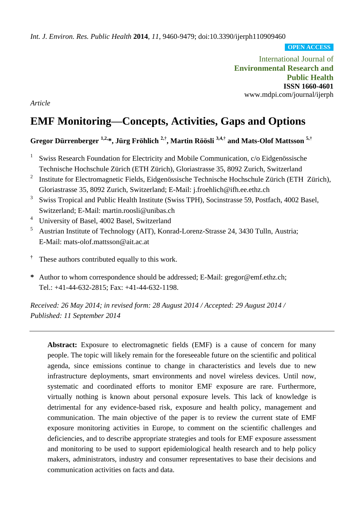*Int. J. Environ. Res. Public Health* **2014**, *11*, 9460-9479; doi:10.3390/ijerph110909460

**OPEN ACCESS**

International Journal of **Environmental Research and Public Health ISSN 1660-4601** www.mdpi.com/journal/ijerph

*Article*

# **EMF Monitoring—Concepts, Activities, Gaps and Options**

## **Gregor Dürrenberger 1,2,\*, Jürg Fröhlich 2,† , Martin Röösli 3,4,† and Mats-Olof Mattsson 5,†**

- 1 Swiss Research Foundation for Electricity and Mobile Communication, c/o Eidgenössische Technische Hochschule Zürich (ETH Zürich), Gloriastrasse 35, 8092 Zurich, Switzerland
- 2 Institute for Electromagnetic Fields, Eidgenössische Technische Hochschule Zürich (ETH Zürich), Gloriastrasse 35, 8092 Zurich, Switzerland; E-Mail: j.froehlich@ifh.ee.ethz.ch
- 3 Swiss Tropical and Public Health Institute (Swiss TPH), Socinstrasse 59, Postfach, 4002 Basel, Switzerland; E-Mail: martin.roosli@unibas.ch
- <sup>4</sup> University of Basel, 4002 Basel, Switzerland
- <sup>5</sup> Austrian Institute of Technology (AIT), Konrad-Lorenz-Strasse 24, 3430 Tulln, Austria; E-Mail: mats-olof.mattsson@ait.ac.at
- **†** These authors contributed equally to this work.
- **\*** Author to whom correspondence should be addressed; E-Mail: gregor@emf.ethz.ch; Tel.: +41-44-632-2815; Fax: +41-44-632-1198.

*Received: 26 May 2014; in revised form: 28 August 2014 / Accepted: 29 August 2014 / Published: 11 September 2014*

**Abstract:** Exposure to electromagnetic fields (EMF) is a cause of concern for many people. The topic will likely remain for the foreseeable future on the scientific and political agenda, since emissions continue to change in characteristics and levels due to new infrastructure deployments, smart environments and novel wireless devices. Until now, systematic and coordinated efforts to monitor EMF exposure are rare. Furthermore, virtually nothing is known about personal exposure levels. This lack of knowledge is detrimental for any evidence-based risk, exposure and health policy, management and communication. The main objective of the paper is to review the current state of EMF exposure monitoring activities in Europe, to comment on the scientific challenges and deficiencies, and to describe appropriate strategies and tools for EMF exposure assessment and monitoring to be used to support epidemiological health research and to help policy makers, administrators, industry and consumer representatives to base their decisions and communication activities on facts and data.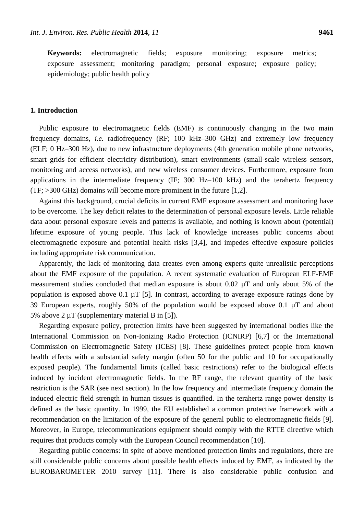**Keywords:** electromagnetic fields; exposure monitoring; exposure metrics; exposure assessment; monitoring paradigm; personal exposure; exposure policy; epidemiology; public health policy

## **1. Introduction**

Public exposure to electromagnetic fields (EMF) is continuously changing in the two main frequency domains, *i.e.* radiofrequency (RF; 100 kHz–300 GHz) and extremely low frequency (ELF; 0 Hz–300 Hz), due to new infrastructure deployments (4th generation mobile phone networks, smart grids for efficient electricity distribution), smart environments (small-scale wireless sensors, monitoring and access networks), and new wireless consumer devices. Furthermore, exposure from applications in the intermediate frequency (IF; 300 Hz–100 kHz) and the terahertz frequency (TF; >300 GHz) domains will become more prominent in the future [1,2].

Against this background, crucial deficits in current EMF exposure assessment and monitoring have to be overcome. The key deficit relates to the determination of personal exposure levels. Little reliable data about personal exposure levels and patterns is available, and nothing is known about (potential) lifetime exposure of young people. This lack of knowledge increases public concerns about electromagnetic exposure and potential health risks [3,4], and impedes effective exposure policies including appropriate risk communication.

Apparently, the lack of monitoring data creates even among experts quite unrealistic perceptions about the EMF exposure of the population. A recent systematic evaluation of European ELF-EMF measurement studies concluded that median exposure is about 0.02 µT and only about 5% of the population is exposed above 0.1  $\mu$ T [5]. In contrast, according to average exposure ratings done by 39 European experts, roughly 50% of the population would be exposed above 0.1 µT and about 5% above 2  $\mu$ T (supplementary material B in [5]).

Regarding exposure policy, protection limits have been suggested by international bodies like the International Commission on Non-Ionizing Radio Protection (ICNIRP) [6,7] or the International Commission on Electromagnetic Safety (ICES) [8]. These guidelines protect people from known health effects with a substantial safety margin (often 50 for the public and 10 for occupationally exposed people). The fundamental limits (called basic restrictions) refer to the biological effects induced by incident electromagnetic fields. In the RF range, the relevant quantity of the basic restriction is the SAR (see next section). In the low frequency and intermediate frequency domain the induced electric field strength in human tissues is quantified. In the terahertz range power density is defined as the basic quantity. In 1999, the EU established a common protective framework with a recommendation on the limitation of the exposure of the general public to electromagnetic fields [9]. Moreover, in Europe, telecommunications equipment should comply with the RTTE directive which requires that products comply with the European Council recommendation [10].

Regarding public concerns: In spite of above mentioned protection limits and regulations, there are still considerable public concerns about possible health effects induced by EMF, as indicated by the EUROBAROMETER 2010 survey [11]. There is also considerable public confusion and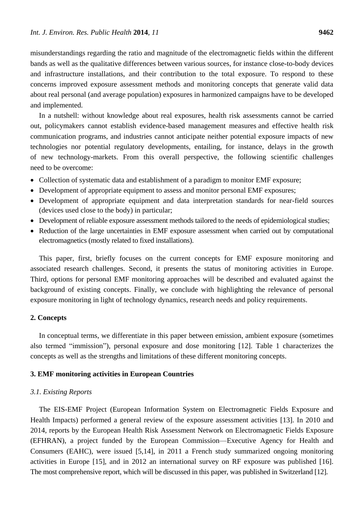misunderstandings regarding the ratio and magnitude of the electromagnetic fields within the different bands as well as the qualitative differences between various sources, for instance close-to-body devices and infrastructure installations, and their contribution to the total exposure. To respond to these concerns improved exposure assessment methods and monitoring concepts that generate valid data about real personal (and average population) exposures in harmonized campaigns have to be developed and implemented.

In a nutshell: without knowledge about real exposures, health risk assessments cannot be carried out, policymakers cannot establish evidence-based management measures and effective health risk communication programs, and industries cannot anticipate neither potential exposure impacts of new technologies nor potential regulatory developments, entailing, for instance, delays in the growth of new technology-markets. From this overall perspective, the following scientific challenges need to be overcome:

- Collection of systematic data and establishment of a paradigm to monitor EMF exposure;
- Development of appropriate equipment to assess and monitor personal EMF exposures;
- Development of appropriate equipment and data interpretation standards for near-field sources (devices used close to the body) in particular;
- Development of reliable exposure assessment methods tailored to the needs of epidemiological studies;
- Reduction of the large uncertainties in EMF exposure assessment when carried out by computational electromagnetics (mostly related to fixed installations).

This paper, first, briefly focuses on the current concepts for EMF exposure monitoring and associated research challenges. Second, it presents the status of monitoring activities in Europe. Third, options for personal EMF monitoring approaches will be described and evaluated against the background of existing concepts. Finally, we conclude with highlighting the relevance of personal exposure monitoring in light of technology dynamics, research needs and policy requirements.

## **2. Concepts**

In conceptual terms, we differentiate in this paper between emission, ambient exposure (sometimes also termed "immission"), personal exposure and dose monitoring [12]. Table 1 characterizes the concepts as well as the strengths and limitations of these different monitoring concepts.

#### **3. EMF monitoring activities in European Countries**

## *3.1. Existing Reports*

The EIS-EMF Project (European Information System on Electromagnetic Fields Exposure and Health Impacts) performed a general review of the exposure assessment activities [13]. In 2010 and 2014, reports by the European Health Risk Assessment Network on Electromagnetic Fields Exposure (EFHRAN), a project funded by the European Commission—Executive Agency for Health and Consumers (EAHC), were issued [5,14], in 2011 a French study summarized ongoing monitoring activities in Europe [15], and in 2012 an international survey on RF exposure was published [16]. The most comprehensive report, which will be discussed in this paper, was published in Switzerland [12].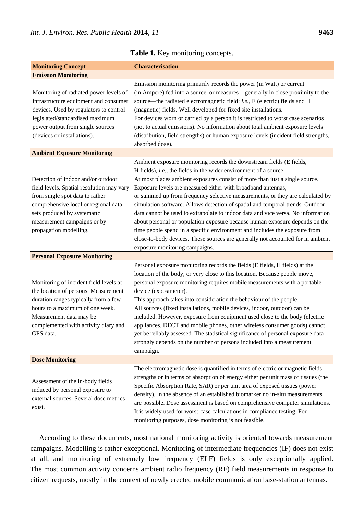| <b>Monitoring Concept</b>                                                                                                                                                                                                                                                        | <b>Characterisation</b>                                                                                                                                                                                                                                                                                                                                                                                                                                                                                                                                                                                                                                                                                                                                                                        |
|----------------------------------------------------------------------------------------------------------------------------------------------------------------------------------------------------------------------------------------------------------------------------------|------------------------------------------------------------------------------------------------------------------------------------------------------------------------------------------------------------------------------------------------------------------------------------------------------------------------------------------------------------------------------------------------------------------------------------------------------------------------------------------------------------------------------------------------------------------------------------------------------------------------------------------------------------------------------------------------------------------------------------------------------------------------------------------------|
| <b>Emission Monitoring</b>                                                                                                                                                                                                                                                       |                                                                                                                                                                                                                                                                                                                                                                                                                                                                                                                                                                                                                                                                                                                                                                                                |
| Monitoring of radiated power levels of<br>infrastructure equipment and consumer<br>devices. Used by regulators to control<br>legislated/standardised maximum<br>power output from single sources<br>(devices or installations).                                                  | Emission monitoring primarily records the power (in Watt) or current<br>(in Ampere) fed into a source, or measures—generally in close proximity to the<br>source—the radiated electromagnetic field; i.e., E (electric) fields and H<br>(magnetic) fields. Well developed for fixed site installations.<br>For devices worn or carried by a person it is restricted to worst case scenarios<br>(not to actual emissions). No information about total ambient exposure levels<br>(distribution, field strengths) or human exposure levels (incident field strengths,<br>absorbed dose).                                                                                                                                                                                                         |
| <b>Ambient Exposure Monitoring</b>                                                                                                                                                                                                                                               |                                                                                                                                                                                                                                                                                                                                                                                                                                                                                                                                                                                                                                                                                                                                                                                                |
| Detection of indoor and/or outdoor<br>field levels. Spatial resolution may vary<br>from single spot data to rather<br>comprehensive local or regional data<br>sets produced by systematic<br>measurement campaigns or by<br>propagation modelling.                               | Ambient exposure monitoring records the downstream fields (E fields,<br>H fields), i.e., the fields in the wider environment of a source.<br>At most places ambient exposures consist of more than just a single source.<br>Exposure levels are measured either with broadband antennas,<br>or summed up from frequency selective measurements, or they are calculated by<br>simulation software. Allows detection of spatial and temporal trends. Outdoor<br>data cannot be used to extrapolate to indoor data and vice versa. No information<br>about personal or population exposure because human exposure depends on the<br>time people spend in a specific environment and includes the exposure from<br>close-to-body devices. These sources are generally not accounted for in ambient |
|                                                                                                                                                                                                                                                                                  | exposure monitoring campaigns.                                                                                                                                                                                                                                                                                                                                                                                                                                                                                                                                                                                                                                                                                                                                                                 |
| <b>Personal Exposure Monitoring</b><br>Monitoring of incident field levels at<br>the location of persons. Measurement<br>duration ranges typically from a few<br>hours to a maximum of one week.<br>Measurement data may be<br>complemented with activity diary and<br>GPS data. | Personal exposure monitoring records the fields (E fields, H fields) at the<br>location of the body, or very close to this location. Because people move,<br>personal exposure monitoring requires mobile measurements with a portable<br>device (exposimeter).<br>This approach takes into consideration the behaviour of the people.<br>All sources (fixed installations, mobile devices, indoor, outdoor) can be<br>included. However, exposure from equipment used close to the body (electric<br>appliances, DECT and mobile phones, other wireless consumer goods) cannot<br>yet be reliably assessed. The statistical significance of personal exposure data<br>strongly depends on the number of persons included into a measurement<br>campaign.                                      |
| <b>Dose Monitoring</b>                                                                                                                                                                                                                                                           |                                                                                                                                                                                                                                                                                                                                                                                                                                                                                                                                                                                                                                                                                                                                                                                                |
| Assessment of the in-body fields<br>induced by personal exposure to<br>external sources. Several dose metrics<br>exist.                                                                                                                                                          | The electromagnetic dose is quantified in terms of electric or magnetic fields<br>strengths or in terms of absorption of energy either per unit mass of tissues (the<br>Specific Absorption Rate, SAR) or per unit area of exposed tissues (power<br>density). In the absence of an established biomarker no in-situ measurements<br>are possible. Dose assessment is based on comprehensive computer simulations.<br>It is widely used for worst-case calculations in compliance testing. For<br>monitoring purposes, dose monitoring is not feasible.                                                                                                                                                                                                                                        |

**Table 1.** Key monitoring concepts.

According to these documents, most national monitoring activity is oriented towards measurement campaigns. Modelling is rather exceptional. Monitoring of intermediate frequencies (IF) does not exist at all, and monitoring of extremely low frequency (ELF) fields is only exceptionally applied. The most common activity concerns ambient radio frequency (RF) field measurements in response to citizen requests, mostly in the context of newly erected mobile communication base-station antennas.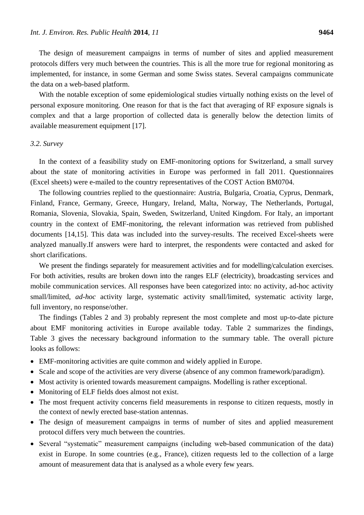The design of measurement campaigns in terms of number of sites and applied measurement protocols differs very much between the countries. This is all the more true for regional monitoring as implemented, for instance, in some German and some Swiss states. Several campaigns communicate the data on a web-based platform.

With the notable exception of some epidemiological studies virtually nothing exists on the level of personal exposure monitoring. One reason for that is the fact that averaging of RF exposure signals is complex and that a large proportion of collected data is generally below the detection limits of available measurement equipment [17].

## *3.2. Survey*

In the context of a feasibility study on EMF-monitoring options for Switzerland, a small survey about the state of monitoring activities in Europe was performed in fall 2011. Questionnaires (Excel sheets) were e-mailed to the country representatives of the COST Action BM0704.

The following countries replied to the questionnaire: Austria, Bulgaria, Croatia, Cyprus, Denmark, Finland, France, Germany, Greece, Hungary, Ireland, Malta, Norway, The Netherlands, Portugal, Romania, Slovenia, Slovakia, Spain, Sweden, Switzerland, United Kingdom. For Italy, an important country in the context of EMF-monitoring, the relevant information was retrieved from published documents [14,15]. This data was included into the survey-results. The received Excel-sheets were analyzed manually.If answers were hard to interpret, the respondents were contacted and asked for short clarifications.

We present the findings separately for measurement activities and for modelling/calculation exercises. For both activities, results are broken down into the ranges ELF (electricity), broadcasting services and mobile communication services. All responses have been categorized into: no activity, ad-hoc activity small/limited, *ad-hoc* activity large, systematic activity small/limited, systematic activity large, full inventory, no response/other.

The findings (Tables 2 and 3) probably represent the most complete and most up-to-date picture about EMF monitoring activities in Europe available today. Table 2 summarizes the findings, Table 3 gives the necessary background information to the summary table. The overall picture looks as follows:

- EMF-monitoring activities are quite common and widely applied in Europe.
- Scale and scope of the activities are very diverse (absence of any common framework/paradigm).
- Most activity is oriented towards measurement campaigns. Modelling is rather exceptional.
- Monitoring of ELF fields does almost not exist.
- The most frequent activity concerns field measurements in response to citizen requests, mostly in the context of newly erected base-station antennas.
- The design of measurement campaigns in terms of number of sites and applied measurement protocol differs very much between the countries.
- Several "systematic" measurement campaigns (including web-based communication of the data) exist in Europe. In some countries (e.g., France), citizen requests led to the collection of a large amount of measurement data that is analysed as a whole every few years.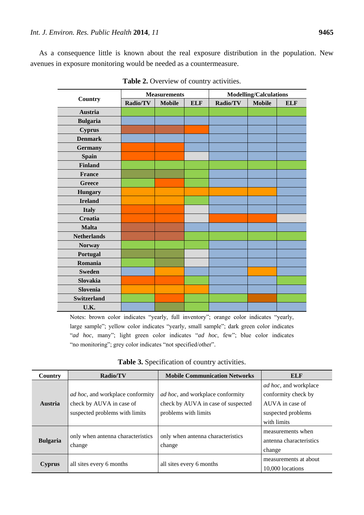As a consequence little is known about the real exposure distribution in the population. New avenues in exposure monitoring would be needed as a countermeasure.

| <b>Country</b>     | <b>Measurements</b> |               |            | <b>Modelling/Calculations</b> |               |            |
|--------------------|---------------------|---------------|------------|-------------------------------|---------------|------------|
|                    | Radio/TV            | <b>Mobile</b> | <b>ELF</b> | Radio/TV                      | <b>Mobile</b> | <b>ELF</b> |
| <b>Austria</b>     |                     |               |            |                               |               |            |
| <b>Bulgaria</b>    |                     |               |            |                               |               |            |
| <b>Cyprus</b>      |                     |               |            |                               |               |            |
| <b>Denmark</b>     |                     |               |            |                               |               |            |
| <b>Germany</b>     |                     |               |            |                               |               |            |
| <b>Spain</b>       |                     |               |            |                               |               |            |
| <b>Finland</b>     |                     |               |            |                               |               |            |
| <b>France</b>      |                     |               |            |                               |               |            |
| <b>Greece</b>      |                     |               |            |                               |               |            |
| <b>Hungary</b>     |                     |               |            |                               |               |            |
| <b>Ireland</b>     |                     |               |            |                               |               |            |
| <b>Italy</b>       |                     |               |            |                               |               |            |
| Croatia            |                     |               |            |                               |               |            |
| <b>Malta</b>       |                     |               |            |                               |               |            |
| <b>Netherlands</b> |                     |               |            |                               |               |            |
| <b>Norway</b>      |                     |               |            |                               |               |            |
| Portugal           |                     |               |            |                               |               |            |
| Romania            |                     |               |            |                               |               |            |
| <b>Sweden</b>      |                     |               |            |                               |               |            |
| Slovakia           |                     |               |            |                               |               |            |
| <b>Slovenia</b>    |                     |               |            |                               |               |            |
| <b>Switzerland</b> |                     |               |            |                               |               |            |
| U.K.               |                     |               |            |                               |               |            |

**Table 2.** Overview of country activities.

Notes: brown color indicates "yearly, full inventory"; orange color indicates "yearly, large sample"; yellow color indicates "yearly, small sample"; dark green color indicates "ad hoc, many"; light green color indicates "ad hoc, few"; blue color indicates "no monitoring"; grey color indicates "not specified/other".

| Country         | Radio/TV                                                                                       | <b>Mobile Communication Networks</b>                                                           | <b>ELF</b>                                                                                    |
|-----------------|------------------------------------------------------------------------------------------------|------------------------------------------------------------------------------------------------|-----------------------------------------------------------------------------------------------|
| <b>Austria</b>  | ad hoc, and workplace conformity<br>check by AUVA in case of<br>suspected problems with limits | ad hoc, and workplace conformity<br>check by AUVA in case of suspected<br>problems with limits | <i>ad hoc</i> , and workplace<br>conformity check by<br>AUVA in case of<br>suspected problems |
| <b>Bulgaria</b> | only when antenna characteristics<br>change                                                    | only when antenna characteristics<br>change                                                    | with limits<br>measurements when<br>antenna characteristics<br>change                         |
| <b>Cyprus</b>   | all sites every 6 months                                                                       | all sites every 6 months                                                                       | measurements at about<br>10,000 locations                                                     |

**Table 3.** Specification of country activities.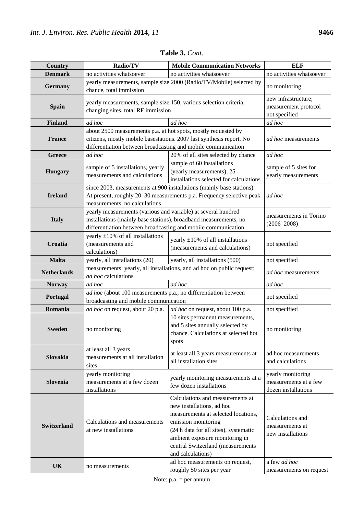| <b>Country</b>     | Radio/TV                                                                                                                                                                                                | <b>Mobile Communication Networks</b>                                                                                                                                                                                                                             | <b>ELF</b>                                                               |
|--------------------|---------------------------------------------------------------------------------------------------------------------------------------------------------------------------------------------------------|------------------------------------------------------------------------------------------------------------------------------------------------------------------------------------------------------------------------------------------------------------------|--------------------------------------------------------------------------|
| <b>Denmark</b>     | no activities whatsoever                                                                                                                                                                                | no activities whatsoever                                                                                                                                                                                                                                         | no activities whatsoever                                                 |
| <b>Germany</b>     | yearly measurements, sample size 2000 (Radio/TV/Mobile) selected by<br>chance, total immission                                                                                                          | no monitoring                                                                                                                                                                                                                                                    |                                                                          |
| <b>Spain</b>       | yearly measurements, sample size 150, various selection criteria,<br>changing sites, total RF immission                                                                                                 | new infrastructure;<br>measurement protocol<br>not specified                                                                                                                                                                                                     |                                                                          |
| <b>Finland</b>     | ad hoc                                                                                                                                                                                                  | ad hoc                                                                                                                                                                                                                                                           | ad hoc                                                                   |
| <b>France</b>      | about 2500 measurements p.a. at hot spots, mostly requested by<br>citizens, mostly mobile basestations. 2007 last synthesis report. No<br>differentiation between broadcasting and mobile communication | <i>ad hoc</i> measurements                                                                                                                                                                                                                                       |                                                                          |
| Greece             | ad hoc                                                                                                                                                                                                  | 20% of all sites selected by chance                                                                                                                                                                                                                              | ad hoc                                                                   |
| <b>Hungary</b>     | sample of 5 installations, yearly<br>measurements and calculations                                                                                                                                      | sample of 60 installations<br>(yearly measurements), 25<br>installations selected for calculations                                                                                                                                                               | sample of 5 sites for<br>yearly measurements                             |
| <b>Ireland</b>     | since 2003, measurements at 900 installations (mainly base stations).<br>At present, roughly 20-30 measurements p.a. Frequency selective peak<br>measurements, no calculations                          | ad hoc                                                                                                                                                                                                                                                           |                                                                          |
| <b>Italy</b>       | yearly measurements (various and variable) at several hundred<br>installations (mainly base stations), broadband measurements, no<br>differentiation between broadcasting and mobile communication      | measurements in Torino<br>$(2006 - 2008)$                                                                                                                                                                                                                        |                                                                          |
| Croatia            | yearly $\pm 10\%$ of all installations<br>(measurements and<br>calculations)                                                                                                                            | yearly $\pm 10\%$ of all installations<br>(measurements and calculations)                                                                                                                                                                                        | not specified                                                            |
| <b>Malta</b>       | yearly, all installations (20)                                                                                                                                                                          | yearly, all installations (500)                                                                                                                                                                                                                                  | not specified                                                            |
| <b>Netherlands</b> | measurements: yearly, all installations, and ad hoc on public request;<br>ad hoc calculations                                                                                                           | ad hoc measurements                                                                                                                                                                                                                                              |                                                                          |
| <b>Norway</b>      | ad hoc                                                                                                                                                                                                  | ad hoc                                                                                                                                                                                                                                                           |                                                                          |
| Portugal           | ad hoc (about 100 measurements p.a., no differentiation between<br>broadcasting and mobile communication                                                                                                | not specified                                                                                                                                                                                                                                                    |                                                                          |
| Romania            | ad hoc on request, about 20 p.a.                                                                                                                                                                        | ad hoc on request, about 100 p.a.                                                                                                                                                                                                                                | not specified                                                            |
| <b>Sweden</b>      | no monitoring                                                                                                                                                                                           | 10 sites permanent measurements,<br>and 5 sites annually selected by<br>chance. Calculations at selected hot<br>spots                                                                                                                                            | no monitoring                                                            |
| Slovakia           | at least all 3 years<br>measurements at all installation<br>sites                                                                                                                                       | at least all 3 years measurements at<br>all installation sites                                                                                                                                                                                                   | ad hoc measurements<br>and calculations                                  |
| Slovenia           | yearly monitoring<br>measurements at a few dozen<br>installations                                                                                                                                       | yearly monitoring measurements at a<br>few dozen installations                                                                                                                                                                                                   | yearly monitoring<br>measurements at a few<br>dozen installations        |
| <b>Switzerland</b> | Calculations and measurements<br>at new installations                                                                                                                                                   | Calculations and measurements at<br>new installations, ad hoc<br>measurements at selected locations,<br>emission monitoring<br>(24 h data for all sites), systematic<br>ambient exposure monitoring in<br>central Switzerland (measurements<br>and calculations) | Calculations and<br>measurements at<br>new installations<br>a few ad hoc |
| <b>UK</b>          | no measurements                                                                                                                                                                                         | ad hoc measurements on request,<br>roughly 50 sites per year                                                                                                                                                                                                     | measurements on request                                                  |

**Table 3.** *Cont.*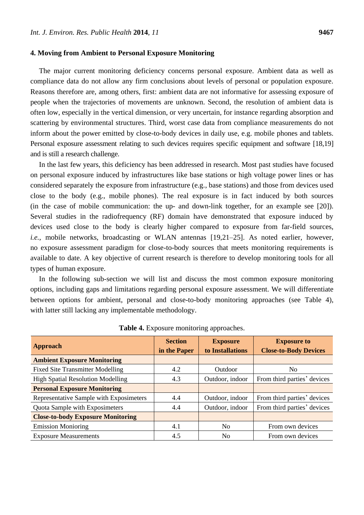#### **4. Moving from Ambient to Personal Exposure Monitoring**

The major current monitoring deficiency concerns personal exposure. Ambient data as well as compliance data do not allow any firm conclusions about levels of personal or population exposure. Reasons therefore are, among others, first: ambient data are not informative for assessing exposure of people when the trajectories of movements are unknown. Second, the resolution of ambient data is often low, especially in the vertical dimension, or very uncertain, for instance regarding absorption and scattering by environmental structures. Third, worst case data from compliance measurements do not inform about the power emitted by close-to-body devices in daily use, e.g. mobile phones and tablets. Personal exposure assessment relating to such devices requires specific equipment and software [18,19] and is still a research challenge.

In the last few years, this deficiency has been addressed in research. Most past studies have focused on personal exposure induced by infrastructures like base stations or high voltage power lines or has considered separately the exposure from infrastructure (e.g., base stations) and those from devices used close to the body (e.g., mobile phones). The real exposure is in fact induced by both sources (in the case of mobile communication: the up- and down-link together, for an example see [20]). Several studies in the radiofrequency (RF) domain have demonstrated that exposure induced by devices used close to the body is clearly higher compared to exposure from far-field sources, *i.e.*, mobile networks, broadcasting or WLAN antennas [19,21-25]. As noted earlier, however, no exposure assessment paradigm for close-to-body sources that meets monitoring requirements is available to date. A key objective of current research is therefore to develop monitoring tools for all types of human exposure.

In the following sub-section we will list and discuss the most common exposure monitoring options, including gaps and limitations regarding personal exposure assessment. We will differentiate between options for ambient, personal and close-to-body monitoring approaches (see Table 4), with latter still lacking any implementable methodology.

| <b>Approach</b>                          | <b>Section</b><br>in the Paper | <b>Exposure</b><br>to Installations | <b>Exposure to</b><br><b>Close-to-Body Devices</b> |
|------------------------------------------|--------------------------------|-------------------------------------|----------------------------------------------------|
| <b>Ambient Exposure Monitoring</b>       |                                |                                     |                                                    |
| <b>Fixed Site Transmitter Modelling</b>  | 4.2                            | Outdoor                             | No                                                 |
| <b>High Spatial Resolution Modelling</b> | 4.3                            | Outdoor, indoor                     | From third parties' devices                        |
| <b>Personal Exposure Monitoring</b>      |                                |                                     |                                                    |
| Representative Sample with Exposimeters  | 4.4                            | Outdoor, indoor                     | From third parties' devices                        |
| Quota Sample with Exposimeters           | 4.4                            | Outdoor, indoor                     | From third parties' devices                        |
| <b>Close-to-body Exposure Monitoring</b> |                                |                                     |                                                    |
| <b>Emission Monioring</b>                | 4.1                            | N <sub>0</sub>                      | From own devices                                   |
| <b>Exposure Measurements</b>             | 4.5                            | N <sub>0</sub>                      | From own devices                                   |

**Table 4.** Exposure monitoring approaches.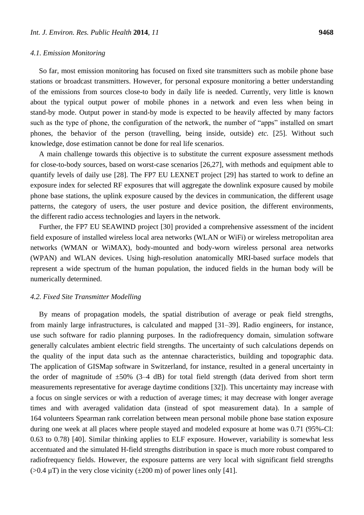#### *4.1. Emission Monitoring*

So far, most emission monitoring has focused on fixed site transmitters such as mobile phone base stations or broadcast transmitters. However, for personal exposure monitoring a better understanding of the emissions from sources close-to body in daily life is needed. Currently, very little is known about the typical output power of mobile phones in a network and even less when being in stand-by mode. Output power in stand-by mode is expected to be heavily affected by many factors such as the type of phone, the configuration of the network, the number of "apps" installed on smart phones, the behavior of the person (travelling, being inside, outside) *etc.* [25]. Without such knowledge, dose estimation cannot be done for real life scenarios.

A main challenge towards this objective is to substitute the current exposure assessment methods for close-to-body sources, based on worst-case scenarios [26,27], with methods and equipment able to quantify levels of daily use [28]. The FP7 EU LEXNET project [29] has started to work to define an exposure index for selected RF exposures that will aggregate the downlink exposure caused by mobile phone base stations, the uplink exposure caused by the devices in communication, the different usage patterns, the category of users, the user posture and device position, the different environments, the different radio access technologies and layers in the network.

Further, the FP7 EU SEAWIND project [30] provided a comprehensive assessment of the incident field exposure of installed wireless local area networks (WLAN or WiFi) or wireless metropolitan area networks (WMAN or WiMAX), body-mounted and body-worn wireless personal area networks (WPAN) and WLAN devices. Using high-resolution anatomically MRI-based surface models that represent a wide spectrum of the human population, the induced fields in the human body will be numerically determined.

#### *4.2. Fixed Site Transmitter Modelling*

By means of propagation models, the spatial distribution of average or peak field strengths, from mainly large infrastructures, is calculated and mapped [31–39]. Radio engineers, for instance, use such software for radio planning purposes. In the radiofrequency domain, simulation software generally calculates ambient electric field strengths. The uncertainty of such calculations depends on the quality of the input data such as the antennae characteristics, building and topographic data. The application of GISMap software in Switzerland, for instance, resulted in a general uncertainty in the order of magnitude of  $\pm 50\%$  (3-4 dB) for total field strength (data derived from short term measurements representative for average daytime conditions [32]). This uncertainty may increase with a focus on single services or with a reduction of average times; it may decrease with longer average times and with averaged validation data (instead of spot measurement data). In a sample of 164 volunteers Spearman rank correlation between mean personal mobile phone base station exposure during one week at all places where people stayed and modeled exposure at home was 0.71 (95%-CI: 0.63 to 0.78) [40]. Similar thinking applies to ELF exposure. However, variability is somewhat less accentuated and the simulated H-field strengths distribution in space is much more robust compared to radiofrequency fields. However, the exposure patterns are very local with significant field strengths ( $>0.4$  µT) in the very close vicinity ( $\pm 200$  m) of power lines only [41].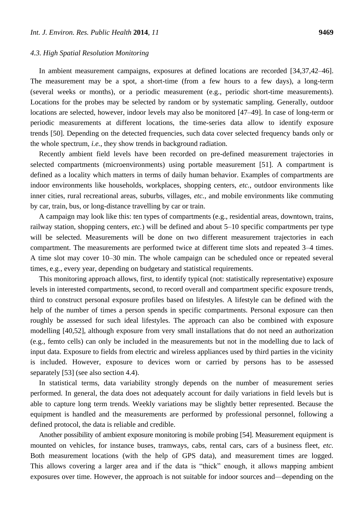#### *4.3. High Spatial Resolution Monitoring*

In ambient measurement campaigns, exposures at defined locations are recorded [34,37,42–46]. The measurement may be a spot, a short-time (from a few hours to a few days), a long-term (several weeks or months), or a periodic measurement (e.g., periodic short-time measurements). Locations for the probes may be selected by random or by systematic sampling. Generally, outdoor locations are selected, however, indoor levels may also be monitored [47–49]. In case of long-term or periodic measurements at different locations, the time-series data allow to identify exposure trends [50]. Depending on the detected frequencies, such data cover selected frequency bands only or the whole spectrum, *i.e.*, they show trends in background radiation.

Recently ambient field levels have been recorded on pre-defined measurement trajectories in selected compartments (microenvironments) using portable measurement [51]. A compartment is defined as a locality which matters in terms of daily human behavior. Examples of compartments are indoor environments like households, workplaces, shopping centers, *etc.*, outdoor environments like inner cities, rural recreational areas, suburbs, villages, *etc.*, and mobile environments like commuting by car, train, bus, or long-distance travelling by car or train.

A campaign may look like this: ten types of compartments (e.g., residential areas, downtown, trains, railway station, shopping centers, *etc.*) will be defined and about 5–10 specific compartments per type will be selected. Measurements will be done on two different measurement trajectories in each compartment. The measurements are performed twice at different time slots and repeated 3–4 times. A time slot may cover 10–30 min. The whole campaign can be scheduled once or repeated several times, e.g., every year, depending on budgetary and statistical requirements.

This monitoring approach allows, first, to identify typical (not: statistically representative) exposure levels in interested compartments, second, to record overall and compartment specific exposure trends, third to construct personal exposure profiles based on lifestyles. A lifestyle can be defined with the help of the number of times a person spends in specific compartments. Personal exposure can then roughly be assessed for such ideal lifestyles. The approach can also be combined with exposure modelling [40,52], although exposure from very small installations that do not need an authorization (e.g., femto cells) can only be included in the measurements but not in the modelling due to lack of input data. Exposure to fields from electric and wireless appliances used by third parties in the vicinity is included. However, exposure to devices worn or carried by persons has to be assessed separately [53] (see also section 4.4).

In statistical terms, data variability strongly depends on the number of measurement series performed. In general, the data does not adequately account for daily variations in field levels but is able to capture long term trends. Weekly variations may be slightly better represented. Because the equipment is handled and the measurements are performed by professional personnel, following a defined protocol, the data is reliable and credible.

Another possibility of ambient exposure monitoring is mobile probing [54]. Measurement equipment is mounted on vehicles, for instance buses, tramways, cabs, rental cars, cars of a business fleet, *etc.* Both measurement locations (with the help of GPS data), and measurement times are logged. This allows covering a larger area and if the data is "thick" enough, it allows mapping ambient exposures over time. However, the approach is not suitable for indoor sources and—depending on the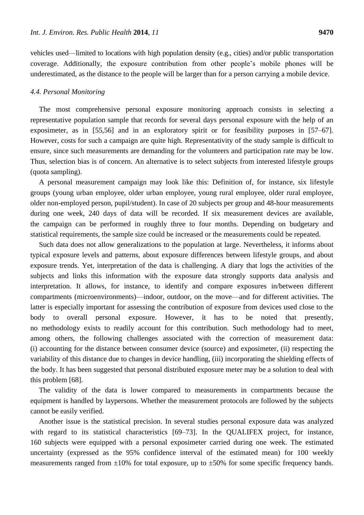vehicles used—limited to locations with high population density (e.g., cities) and/or public transportation coverage. Additionally, the exposure contribution from other people's mobile phones will be underestimated, as the distance to the people will be larger than for a person carrying a mobile device.

#### *4.4. Personal Monitoring*

The most comprehensive personal exposure monitoring approach consists in selecting a representative population sample that records for several days personal exposure with the help of an exposimeter, as in [55,56] and in an exploratory spirit or for feasibility purposes in [57–67]. However, costs for such a campaign are quite high. Representativity of the study sample is difficult to ensure, since such measurements are demanding for the volunteers and participation rate may be low. Thus, selection bias is of concern. An alternative is to select subjects from interested lifestyle groups (quota sampling).

A personal measurement campaign may look like this: Definition of, for instance, six lifestyle groups (young urban employee, older urban employee, young rural employee, older rural employee, older non-employed person, pupil/student). In case of 20 subjects per group and 48-hour measurements during one week, 240 days of data will be recorded. If six measurement devices are available, the campaign can be performed in roughly three to four months. Depending on budgetary and statistical requirements, the sample size could be increased or the measurements could be repeated.

Such data does not allow generalizations to the population at large. Nevertheless, it informs about typical exposure levels and patterns, about exposure differences between lifestyle groups, and about exposure trends. Yet, interpretation of the data is challenging. A diary that logs the activities of the subjects and links this information with the exposure data strongly supports data analysis and interpretation. It allows, for instance, to identify and compare exposures in/between different compartments (microenvironments)—indoor, outdoor, on the move—and for different activities. The latter is especially important for assessing the contribution of exposure from devices used close to the body to overall personal exposure. However, it has to be noted that presently, no methodology exists to readily account for this contribution. Such methodology had to meet, among others, the following challenges associated with the correction of measurement data: (i) accounting for the distance between consumer device (source) and exposimeter, (ii) respecting the variability of this distance due to changes in device handling, (iii) incorporating the shielding effects of the body. It has been suggested that personal distributed exposure meter may be a solution to deal with this problem [68].

The validity of the data is lower compared to measurements in compartments because the equipment is handled by laypersons. Whether the measurement protocols are followed by the subjects cannot be easily verified.

Another issue is the statistical precision. In several studies personal exposure data was analyzed with regard to its statistical characteristics [69–73]. In the QUALIFEX project, for instance, 160 subjects were equipped with a personal exposimeter carried during one week. The estimated uncertainty (expressed as the 95% confidence interval of the estimated mean) for 100 weekly measurements ranged from  $\pm 10\%$  for total exposure, up to  $\pm 50\%$  for some specific frequency bands.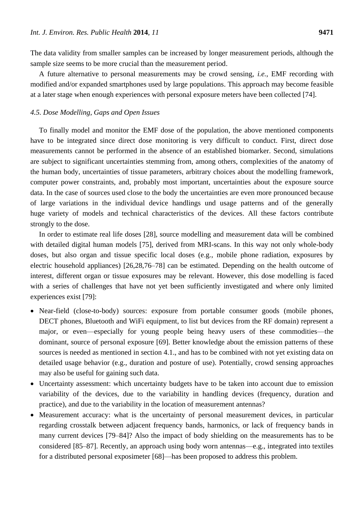The data validity from smaller samples can be increased by longer measurement periods, although the sample size seems to be more crucial than the measurement period.

A future alternative to personal measurements may be crowd sensing, *i.e.*, EMF recording with modified and/or expanded smartphones used by large populations. This approach may become feasible at a later stage when enough experiences with personal exposure meters have been collected [74].

## *4.5. Dose Modelling, Gaps and Open Issues*

To finally model and monitor the EMF dose of the population, the above mentioned components have to be integrated since direct dose monitoring is very difficult to conduct. First, direct dose measurements cannot be performed in the absence of an established biomarker. Second, simulations are subject to significant uncertainties stemming from, among others, complexities of the anatomy of the human body, uncertainties of tissue parameters, arbitrary choices about the modelling framework, computer power constraints, and, probably most important, uncertainties about the exposure source data. In the case of sources used close to the body the uncertainties are even more pronounced because of large variations in the individual device handlings und usage patterns and of the generally huge variety of models and technical characteristics of the devices. All these factors contribute strongly to the dose.

In order to estimate real life doses [28], source modelling and measurement data will be combined with detailed digital human models [75], derived from MRI-scans. In this way not only whole-body doses, but also organ and tissue specific local doses (e.g., mobile phone radiation, exposures by electric household appliances) [26,28,76–78] can be estimated. Depending on the health outcome of interest, different organ or tissue exposures may be relevant. However, this dose modelling is faced with a series of challenges that have not yet been sufficiently investigated and where only limited experiences exist [79]:

- Near-field (close-to-body) sources: exposure from portable consumer goods (mobile phones, DECT phones, Bluetooth and WiFi equipment, to list but devices from the RF domain) represent a major, or even—especially for young people being heavy users of these commodities—the dominant, source of personal exposure [69]. Better knowledge about the emission patterns of these sources is needed as mentioned in section 4.1., and has to be combined with not yet existing data on detailed usage behavior (e.g., duration and posture of use). Potentially, crowd sensing approaches may also be useful for gaining such data.
- Uncertainty assessment: which uncertainty budgets have to be taken into account due to emission variability of the devices, due to the variability in handling devices (frequency, duration and practice), and due to the variability in the location of measurement antennas?
- Measurement accuracy: what is the uncertainty of personal measurement devices, in particular regarding crosstalk between adjacent frequency bands, harmonics, or lack of frequency bands in many current devices [79–84]? Also the impact of body shielding on the measurements has to be considered [85–87]. Recently, an approach using body worn antennas—e.g., integrated into textiles for a distributed personal exposimeter [68]—has been proposed to address this problem.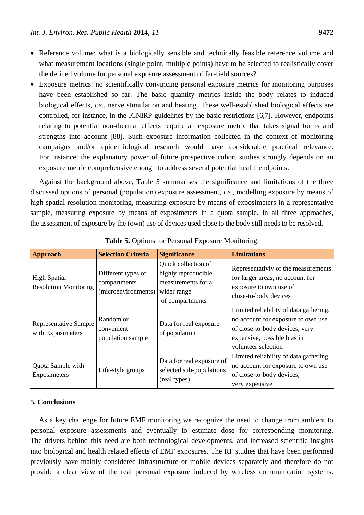- Reference volume: what is a biologically sensible and technically feasible reference volume and what measurement locations (single point, multiple points) have to be selected to realistically cover the defined volume for personal exposure assessment of far-field sources?
- Exposure metrics: no scientifically convincing personal exposure metrics for monitoring purposes have been established so far. The basic quantity metrics inside the body relates to induced biological effects, *i.e.*, nerve stimulation and heating. These well-established biological effects are controlled, for instance, in the ICNIRP guidelines by the basic restrictions [6,7]. However, endpoints relating to potential non-thermal effects require an exposure metric that takes signal forms and strengths into account [88]. Such exposure information collected in the context of monitoring campaigns and/or epidemiological research would have considerable practical relevance. For instance, the explanatory power of future prospective cohort studies strongly depends on an exposure metric comprehensive enough to address several potential health endpoints.

Against the background above, Table 5 summarises the significance and limitations of the three discussed options of personal (population) exposure assessment, *i.e.*, modelling exposure by means of high spatial resolution monitoring, measuring exposure by means of exposimeters in a representative sample, measuring exposure by means of exposimeters in a quota sample. In all three approaches, the assessment of exposure by the (own) use of devices used close to the body still needs to be resolved.

| <b>Approach</b>                                     | <b>Selection Criteria</b>                                 | <b>Significance</b>                                                                                | <b>Limitations</b>                                                                                                                                                   |
|-----------------------------------------------------|-----------------------------------------------------------|----------------------------------------------------------------------------------------------------|----------------------------------------------------------------------------------------------------------------------------------------------------------------------|
| <b>High Spatial</b><br><b>Resolution Monitoring</b> | Different types of<br>compartments<br>(microenvironments) | Quick collection of<br>highly reproducible<br>measurements for a<br>wider range<br>of compartments | Representativiy of the measurements<br>for larger areas, no account for<br>exposure to own use of<br>close-to-body devices                                           |
| <b>Representative Sample</b><br>with Exposimeters   | Random or<br>convenient<br>population sample              | Data for real exposure<br>of population                                                            | Limited reliability of data gathering,<br>no account for exposure to own use<br>of close-to-body devices, very<br>expensive, possible bias in<br>volunteer selection |
| Quota Sample with<br>Exposimeters                   | Life-style groups                                         | Data for real exposure of<br>selected sub-populations<br>(real types)                              | Limited reliability of data gathering,<br>no account for exposure to own use<br>of close-to-body devices,<br>very expensive                                          |

**Table 5.** Options for Personal Exposure Monitoring.

## **5. Conclusions**

As a key challenge for future EMF monitoring we recognize the need to change from ambient to personal exposure assessments and eventually to estimate dose for corresponding monitoring. The drivers behind this need are both technological developments, and increased scientific insights into biological and health related effects of EMF exposures. The RF studies that have been performed previously have mainly considered infrastructure or mobile devices separately and therefore do not provide a clear view of the real personal exposure induced by wireless communication systems.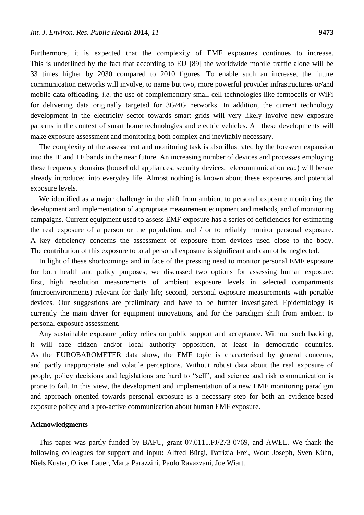Furthermore, it is expected that the complexity of EMF exposures continues to increase. This is underlined by the fact that according to EU [89] the worldwide mobile traffic alone will be 33 times higher by 2030 compared to 2010 figures. To enable such an increase, the future communication networks will involve, to name but two, more powerful provider infrastructures or/and mobile data offloading, *i.e.* the use of complementary small cell technologies like femtocells or WiFi for delivering data originally targeted for 3G/4G networks. In addition, the current technology development in the electricity sector towards smart grids will very likely involve new exposure patterns in the context of smart home technologies and electric vehicles. All these developments will make exposure assessment and monitoring both complex and inevitably necessary.

The complexity of the assessment and monitoring task is also illustrated by the foreseen expansion into the IF and TF bands in the near future. An increasing number of devices and processes employing these frequency domains (household appliances, security devices, telecommunication *etc.*) will be/are already introduced into everyday life. Almost nothing is known about these exposures and potential exposure levels.

We identified as a major challenge in the shift from ambient to personal exposure monitoring the development and implementation of appropriate measurement equipment and methods, and of monitoring campaigns. Current equipment used to assess EMF exposure has a series of deficiencies for estimating the real exposure of a person or the population, and / or to reliably monitor personal exposure. A key deficiency concerns the assessment of exposure from devices used close to the body. The contribution of this exposure to total personal exposure is significant and cannot be neglected.

In light of these shortcomings and in face of the pressing need to monitor personal EMF exposure for both health and policy purposes, we discussed two options for assessing human exposure: first, high resolution measurements of ambient exposure levels in selected compartments (microenvironments) relevant for daily life; second, personal exposure measurements with portable devices. Our suggestions are preliminary and have to be further investigated. Epidemiology is currently the main driver for equipment innovations, and for the paradigm shift from ambient to personal exposure assessment.

Any sustainable exposure policy relies on public support and acceptance. Without such backing, it will face citizen and/or local authority opposition, at least in democratic countries. As the EUROBAROMETER data show, the EMF topic is characterised by general concerns, and partly inappropriate and volatile perceptions. Without robust data about the real exposure of people, policy decisions and legislations are hard to "sell", and science and risk communication is prone to fail. In this view, the development and implementation of a new EMF monitoring paradigm and approach oriented towards personal exposure is a necessary step for both an evidence-based exposure policy and a pro-active communication about human EMF exposure.

## **Acknowledgments**

This paper was partly funded by BAFU, grant 07.0111.PJ/273-0769, and AWEL. We thank the following colleagues for support and input: Alfred Bürgi, Patrizia Frei, Wout Joseph, Sven Kühn, Niels Kuster, Oliver Lauer, Marta Parazzini, Paolo Ravazzani, Joe Wiart.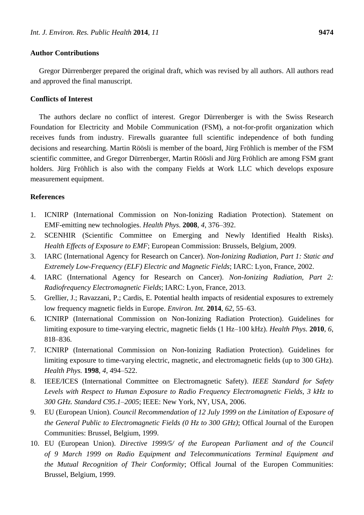## **Author Contributions**

Gregor Dürrenberger prepared the original draft, which was revised by all authors. All authors read and approved the final manuscript.

## **Conflicts of Interest**

The authors declare no conflict of interest. Gregor Dürrenberger is with the Swiss Research Foundation for Electricity and Mobile Communication (FSM), a not-for-profit organization which receives funds from industry. Firewalls guarantee full scientific independence of both funding decisions and researching. Martin Röösli is member of the board, Jürg Fröhlich is member of the FSM scientific committee, and Gregor Dürrenberger, Martin Röösli and Jürg Fröhlich are among FSM grant holders. Jürg Fröhlich is also with the company Fields at Work LLC which develops exposure measurement equipment.

## **References**

- 1. ICNIRP (International Commission on Non-Ionizing Radiation Protection). Statement on EMF-emitting new technologies. *Health Phys.* **2008**, *4*, 376–392.
- 2. SCENHIR (Scientific Committee on Emerging and Newly Identified Health Risks). *Health Effects of Exposure to EMF*; European Commission: Brussels, Belgium, 2009.
- 3. IARC (International Agency for Research on Cancer). *Non-Ionizing Radiation, Part 1: Static and Extremely Low-Frequency (ELF) Electric and Magnetic Fields*; IARC: Lyon, France, 2002.
- 4. IARC (International Agency for Research on Cancer). *Non-Ionizing Radiation, Part 2: Radiofrequency Electromagnetic Fields*; IARC: Lyon, France, 2013.
- 5. Grellier, J.; Ravazzani, P.; Cardis, E. Potential health impacts of residential exposures to extremely low frequency magnetic fields in Europe. *Environ. Int.* **2014**, *62*, 55–63.
- 6. ICNIRP (International Commission on Non-Ionizing Radiation Protection). Guidelines for limiting exposure to time-varying electric, magnetic fields (1 Hz–100 kHz). *Health Phys.* **2010**, *6*, 818–836.
- 7. ICNIRP (International Commission on Non-Ionizing Radiation Protection). Guidelines for limiting exposure to time-varying electric, magnetic, and electromagnetic fields (up to 300 GHz). *Health Phys.* **1998**, *4*, 494–522.
- 8. IEEE/ICES (International Committee on Electromagnetic Safety). *IEEE Standard for Safety Levels with Respect to Human Exposure to Radio Frequency Electromagnetic Fields, 3 kHz to 300 GHz. Standard C95.1–2005*; IEEE: New York, NY, USA, 2006.
- 9. EU (European Union). *Council Recommendation of 12 July 1999 on the Limitation of Exposure of the General Public to Electromagnetic Fields (0 Hz to 300 GHz)*; Offical Journal of the Europen Communities: Brussel, Belgium, 1999.
- 10. EU (European Union). *Directive 1999/5/ of the European Parliament and of the Council of 9 March 1999 on Radio Equipment and Telecommunications Terminal Equipment and the Mutual Recognition of Their Conformity*; Offical Journal of the Europen Communities: Brussel, Belgium, 1999.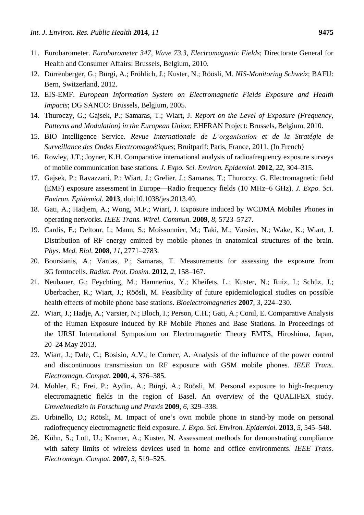- 11. Eurobarometer. *Eurobarometer 347, Wave 73.3, Electromagnetic Fields*; Directorate General for Health and Consumer Affairs: Brussels, Belgium, 2010.
- 12. Dürrenberger, G.; Bürgi, A.; Fröhlich, J.; Kuster, N.; Röösli, M. *NIS-Monitoring Schweiz*; BAFU: Bern, Switzerland, 2012.
- 13. EIS-EMF. *European Information System on Electromagnetic Fields Exposure and Health Impacts*; DG SANCO: Brussels, Belgium, 2005.
- 14. Thuroczy, G.; Gajsek, P.; Samaras, T.; Wiart, J. *Report on the Level of Exposure (Frequency, Patterns and Modulation) in the European Union*; EHFRAN Project: Brussels, Belgium, 2010.
- 15. BIO Intelligence Service. *Revue Internationale de L'organisation et de la Stratégie de Surveillance des Ondes Electromagnétiques*; Bruitparif: Paris, France, 2011. (In French)
- 16. Rowley, J.T.; Joyner, K.H. Comparative international analysis of radioafrequency exposure surveys of mobile communication base stations. *J. Expo. Sci. Environ. Epidemiol.* **2012**, *22*, 304–315.
- 17. Gajsek, P.; Ravazzani, P.; Wiart, J.; Grelier, J.; Samaras, T.; Thuroczy, G. Electromagnetic field (EMF) exposure assessment in Europe—Radio frequency fields (10 MHz–6 GHz). *J. Expo. Sci. Environ. Epidemiol.* **2013**, doi:10.1038/jes.2013.40.
- 18. Gati, A.; Hadjem, A.; Wong, M.F.; Wiart, J. Exposure induced by WCDMA Mobiles Phones in operating networks. *IEEE Trans. Wirel. Commun.* **2009**, *8*, 5723–5727.
- 19. Cardis, E.; Deltour, I.; Mann, S.; Moissonnier, M.; Taki, M.; Varsier, N.; Wake, K.; Wiart, J. Distribution of RF energy emitted by mobile phones in anatomical structures of the brain. *Phys. Med. Biol.* **2008**, *11*, 2771–2783.
- 20. Boursianis, A.; Vanias, P.; Samaras, T. Measurements for assessing the exposure from 3G femtocells. *Radiat. Prot. Dosim.* **2012**, *2*, 158–167.
- 21. Neubauer, G.; Feychting, M.; Hamnerius, Y.; Kheifets, L.; Kuster, N.; Ruiz, I.; Schüz, J.; Uberbacher, R.; Wiart, J.; Röösli, M. Feasibility of future epidemiological studies on possible health effects of mobile phone base stations. *Bioelectromagnetics* **2007**, *3*, 224–230.
- 22. Wiart, J.; Hadje, A.; Varsier, N.; Bloch, I.; Person, C.H.; Gati, A.; Conil, E. Comparative Analysis of the Human Exposure induced by RF Mobile Phones and Base Stations. In Proceedings of the URSI International Symposium on Electromagnetic Theory EMTS, Hiroshima, Japan, 20–24 May 2013.
- 23. Wiart, J.; Dale, C.; Bosisio, A.V.; le Cornec, A. Analysis of the influence of the power control and discontinuous transmission on RF exposure with GSM mobile phones. *IEEE Trans. Electromagn. Compat.* **2000**, *4*, 376–385.
- 24. Mohler, E.; Frei, P.; Aydin, A.; Bürgi, A.; Röösli, M. Personal exposure to high-frequency electromagnetic fields in the region of Basel. An overview of the QUALIFEX study. *Umwelmedizin in Forschung und Praxis* **2009**, *6*, 329–338.
- 25. Urbinello, D.; Röösli, M. Impact of one's own mobile phone in stand-by mode on personal radiofrequency electromagnetic field exposure. *J. Expo. Sci. Environ. Epidemiol.* **2013**, *5*, 545–548.
- 26. Kühn, S.; Lott, U.; Kramer, A.; Kuster, N. Assessment methods for demonstrating compliance with safety limits of wireless devices used in home and office environments. *IEEE Trans. Electromagn. Compat.* **2007**, *3*, 519–525.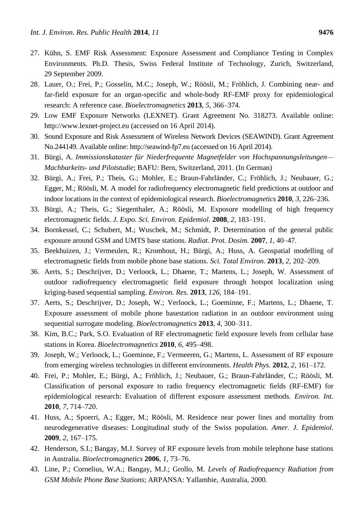- 27. Kühn, S. EMF Risk Assessment: Exposure Assessment and Compliance Testing in Complex Environments. Ph.D. Thesis, Swiss Federal Institute of Technology, Zurich, Switzerland, 29 September 2009.
- 28. Lauer, O.; Frei, P.; Gosselin, M.C.; Joseph, W.; Röösli, M.; Fröhlich, J. Combining near- and far-field exposure for an organ-specific and whole-body RF-EMF proxy for epidemiological research: A reference case. *Bioelectromagnetics* **2013**, *5*, 366–374.
- 29. Low EMF Exposure Networks (LEXNET). Grant Agreement No. 318273. Available online: http://www.lexnet-project.eu (accessed on 16 April 2014).
- 30. Sound Exposure and Risk Assessment of Wireless Network Devices (SEAWIND). Grant Agreement No.244149. Available online: http://seawind-fp7.eu (accessed on 16 April 2014).
- 31. Bürgi, A. *Immissionskataster für Niederfrequente Magnetfelder von Hochspannungsleitungen— Machbarkeits- und Pilotstudie*; BAFU: Bern, Switzerland, 2011. (In German)
- 32. Bürgi, A.; Frei, P.; Theis, G.; Mohler, E.; Braun-Fahrländer, C.; Fröhlich, J.; Neubauer, G.; Egger, M.; Röösli, M. A model for radiofrequency electromagnetic field predictions at outdoor and indoor locations in the context of epidemiological research. *Bioelectromagnetics* **2010**, *3*, 226–236.
- 33. Bürgi, A.; Theis, G.; Siegenthaler, A.; Röösli, M. Exposure modelling of high frequency electromagnetic fields. *J. Expo. Sci. Environ. Epidemiol.* **2008**, *2*, 183–191.
- 34. Bornkessel, C.; Schubert, M.; Wuschek, M.; Schmidt, P. Determination of the general public exposure around GSM and UMTS base stations. *Radiat. Prot. Dosim.* **2007**, *1*, 40–47.
- 35. Beekhuizen, J.; Vermeulen, R.; Kromhout, H.; Bürgi, A.; Huss, A. Geospatial modelling of electromagnetic fields from mobile phone base stations. *Sci. Total Environ.* **2013**, *2*, 202–209.
- 36. Aerts, S.; Deschrijver, D.; Verloock, L.; Dhaene, T.; Martens, L.; Joseph, W. Assessment of outdoor radiofrequency electromagnetic field exposure through hotspot localization using kriging-based sequential sampling. *Environ. Res.* **2013**, *126*, 184–191.
- 37. Aerts, S.; Deschrijver, D.; Joseph, W.; Verloock, L.; Goeminne, F.; Martens, L.; Dhaene, T. Exposure assessment of mobile phone basestation radiation in an outdoor environment using sequential surrogate modeling. *Bioelectromagnetics* **2013**, *4*, 300–311.
- 38. Kim, B.C.; Park, S.O. Evaluation of RF electromagnetic field exposure levels from cellular base stations in Korea. *Bioelectromagnetics* **2010**, *6*, 495–498.
- 39. Joseph, W.; Verloock, L.; Goeminne, F.; Vermeeren, G.; Martens, L. Assessment of RF exposure from emerging wireless technologies in different environments. *Health Phys.* **2012**, *2*, 161–172.
- 40. Frei, P.; Mohler, E.; Bürgi, A.; Fröhlich, J.; Neubauer, G.; Braun-Fahrländer, C.; Röösli, M. Classification of personal exposure to radio frequency electromagnetic fields (RF-EMF) for epidemiological research: Evaluation of different exposure assessment methods. *Environ. Int.* **2010**, *7*, 714–720.
- 41. Huss, A.; Spoerri, A.; Egger, M.; Röösli, M. Residence near power lines and mortality from neurodegenerative diseases: Longitudinal study of the Swiss population. *Amer. J. Epidemiol.* **2009**, *2*, 167–175.
- 42. Henderson, S.I.; Bangay, M.J. Survey of RF exposure levels from mobile telephone base stations in Australia. *Bioelectromagnetics* **2006**, *1*, 73–76.
- 43. Line, P.; Cornelius, W.A.; Bangay, M.J.; Grollo, M. *Levels of Radiofrequency Radiation from GSM Mobile Phone Base Stations*; ARPANSA: Yallambie, Australia, 2000.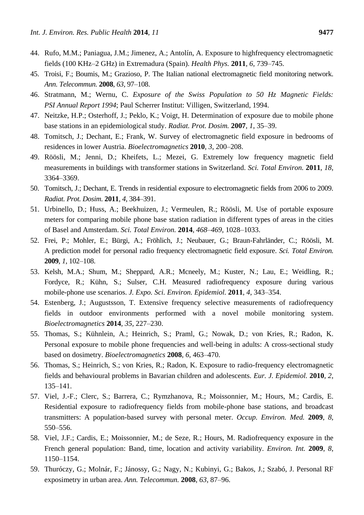- 44. Rufo, M.M.; Paniagua, J.M.; Jimenez, A.; Antol n, A. Exposure to highfrequency electromagnetic fields (100 KHz–2 GHz) in Extremadura (Spain). *Health Phys.* **2011**, *6*, 739–745.
- 45. Troisi, F.; Boumis, M.; Grazioso, P. The Italian national electromagnetic field monitoring network. *Ann. Telecommun.* **2008**, *63*, 97–108.
- 46. Stratmann, M.; Wernu, C. *Exposure of the Swiss Population to 50 Hz Magnetic Fields: PSI Annual Report 1994*; Paul Scherrer Institut: Villigen, Switzerland, 1994.
- 47. Neitzke, H.P.; Osterhoff, J.; Peklo, K.; Voigt, H. Determination of exposure due to mobile phone base stations in an epidemiological study. *Radiat. Prot. Dosim.* **2007**, *1*, 35–39.
- 48. Tomitsch, J.; Dechant, E.; Frank, W. Survey of electromagnetic field exposure in bedrooms of residences in lower Austria. *Bioelectromagnetics* **2010**, *3*, 200–208.
- 49. Röösli, M.; Jenni, D.; Kheifets, L.; Mezei, G. Extremely low frequency magnetic field measurements in buildings with transformer stations in Switzerland. *Sci. Total Environ.* **2011**, *18*, 3364–3369.
- 50. Tomitsch, J.; Dechant, E. Trends in residential exposure to electromagnetic fields from 2006 to 2009*. Radiat. Prot. Dosim.* **2011**, *4*, 384–391.
- 51. Urbinello, D.; Huss, A.; Beekhuizen, J.; Vermeulen, R.; Röösli, M. Use of portable exposure meters for comparing mobile phone base station radiation in different types of areas in the cities of Basel and Amsterdam. *Sci. Total Environ.* **2014**, *468–469*, 1028–1033.
- 52. Frei, P.; Mohler, E.; Bürgi, A.; Fröhlich, J.; Neubauer, G.; Braun-Fahrländer, C.; Röösli, M. A prediction model for personal radio frequency electromagnetic field exposure. *Sci. Total Environ.* **2009**, *1*, 102–108.
- 53. Kelsh, M.A.; Shum, M.; Sheppard, A.R.; Mcneely, M.; Kuster, N.; Lau, E.; Weidling, R.; Fordyce, R.; Kühn, S.; Sulser, C.H. Measured radiofrequency exposure during various mobile-phone use scenarios. *J. Expo. Sci. Environ. Epidemiol.* **2011**, *4*, 343–354.
- 54. Estenberg, J.; Augustsson, T. Extensive frequency selective measurements of radiofrequency fields in outdoor environments performed with a novel mobile monitoring system. *Bioelectromagnetics* **2014**, *35*, 227–230.
- 55. Thomas, S.; Kühnlein, A.; Heinrich, S.; Praml, G.; Nowak, D.; von Kries, R.; Radon, K. Personal exposure to mobile phone frequencies and well-being in adults: A cross-sectional study based on dosimetry. *Bioelectromagnetics* **2008**, *6*, 463–470.
- 56. Thomas, S.; Heinrich, S.; von Kries, R.; Radon, K. Exposure to radio-frequency electromagnetic fields and behavioural problems in Bavarian children and adolescents. *Eur. J. Epidemiol.* **2010**, *2*, 135–141.
- 57. Viel, J.-F.; Clerc, S.; Barrera, C.; Rymzhanova, R.; Moissonnier, M.; Hours, M.; Cardis, E. Residential exposure to radiofrequency fields from mobile-phone base stations, and broadcast transmitters: A population-based survey with personal meter. *Occup. Environ. Med.* **2009**, *8*, 550–556.
- 58. Viel, J.F.; Cardis, E.; Moissonnier, M.; de Seze, R.; Hours, M. Radiofrequency exposure in the French general population: Band, time, location and activity variability. *Environ. Int.* **2009**, *8*, 1150–1154.
- 59. Thuróczy, G.; Molnár, F.; Jánossy, G.; Nagy, N.; Kubinyi, G.; Bakos, J.; Szabó, J. Personal RF exposimetry in urban area. *Ann. Telecommun.* **2008**, *63*, 87–96.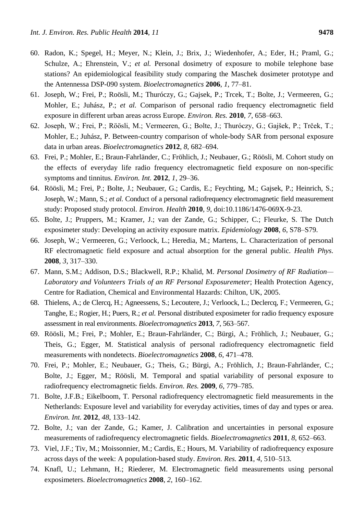- 60. Radon, K.; Spegel, H.; Meyer, N.; Klein, J.; Brix, J.; Wiedenhofer, A.; Eder, H.; Praml, G.; Schulze, A.; Ehrenstein, V.; *et al.* Personal dosimetry of exposure to mobile telephone base stations? An epidemiological feasibility study comparing the Maschek dosimeter prototype and the Antennessa DSP-090 system. *Bioelectromagnetics* **2006**, *1*, 77–81.
- 61. Joseph, W.; Frei, P.; Roösli, M.; Thuróczy, G.; Gajsek, P.; Trcek, T.; Bolte, J.; Vermeeren, G.; Mohler, E.; Juhász, P.; *et al.* Comparison of personal radio frequency electromagnetic field exposure in different urban areas across Europe. *Environ. Res.* **2010**, *7*, 658–663.
- 62. Joseph, W.; Frei, P.; Röösli, M.; Vermeeren, G.; Bolte, J.; Thuróczy, G.; Gajšek, P.; Trček, T.; Mohler, E.; Juhász, P. Between-country comparison of whole-body SAR from personal exposure data in urban areas. *Bioelectromagnetics* **2012**, *8*, 682–694.
- 63. Frei, P.; Mohler, E.; Braun-Fahrländer, C.; Fröhlich, J.; Neubauer, G.; Röösli, M. Cohort study on the effects of everyday life radio frequency electromagnetic field exposure on non-specific symptoms and tinnitus. *Environ. Int.* **2012**, *1*, 29–36.
- 64. Röösli, M.; Frei, P.; Bolte, J.; Neubauer, G.; Cardis, E.; Feychting, M.; Gajsek, P.; Heinrich, S.; Joseph, W.; Mann, S.; *et al.* Conduct of a personal radiofrequency electromagnetic field measurement study: Proposed study protocol. *Environ. Health* **2010**, *9*, doi:10.1186/1476-069X-9-23.
- 65. Bolte, J.; Pruppers, M.; Kramer, J.; van der Zande, G.; Schipper, C.; Fleurke, S. The Dutch exposimeter study: Developing an activity exposure matrix. *Epidemiology* **2008**, *6*, S78–S79.
- 66. Joseph, W.; Vermeeren, G.; Verloock, L.; Heredia, M.; Martens, L. Characterization of personal RF electromagnetic field exposure and actual absorption for the general public. *Health Phys.* **2008**, *3*, 317–330.
- 67. Mann, S.M.; Addison, D.S.; Blackwell, R.P.; Khalid, M. *Personal Dosimetry of RF Radiation— Laboratory and Volunteers Trials of an RF Personal Exposuremeter*; Health Protection Agency, Centre for Radiation, Chemical and Environmental Hazards: Chilton, UK, 2005.
- 68. Thielens, A.; de Clercq, H.; Agneessens, S.; Lecoutere, J.; Verloock, L.; Declercq, F.; Vermeeren, G.; Tanghe, E.; Rogier, H.; Puers, R.; *et al.* Personal distributed exposimeter for radio frequency exposure assessment in real environments. *Bioelectromagnetics* **2013**, *7*, 563–567.
- 69. Röösli, M.; Frei, P.; Mohler, E.; Braun-Fahrländer, C.; Bürgi, A.; Fröhlich, J.; Neubauer, G.; Theis, G.; Egger, M. Statistical analysis of personal radiofrequency electromagnetic field measurements with nondetects. *Bioelectromagnetics* **2008**, *6*, 471–478.
- 70. Frei, P.; Mohler, E.; Neubauer, G.; Theis, G.; Bürgi, A.; Fröhlich, J.; Braun-Fahrländer, C.; Bolte, J.; Egger, M.; Röösli, M. Temporal and spatial variability of personal exposure to radiofrequency electromagnetic fields. *Environ. Res.* **2009**, *6*, 779–785.
- 71. Bolte, J.F.B.; Eikelboom, T. Personal radiofrequency electromagnetic field measurements in the Netherlands: Exposure level and variability for everyday activities, times of day and types or area. *Environ. Int.* **2012**, *48*, 133–142.
- 72. Bolte, J.; van der Zande, G.; Kamer, J. Calibration and uncertainties in personal exposure measurements of radiofrequency electromagnetic fields. *Bioelectromagnetics* **2011**, *8*, 652–663.
- 73. Viel, J.F.; Tiv, M.; Moissonnier, M.; Cardis, E.; Hours, M. Variability of radiofrequency exposure across days of the week: A population-based study. *Environ. Res.* **2011**, *4*, 510–513.
- 74. Knafl, U.; Lehmann, H.; Riederer, M. Electromagnetic field measurements using personal exposimeters. *Bioelectromagnetics* **2008**, *2*, 160–162.